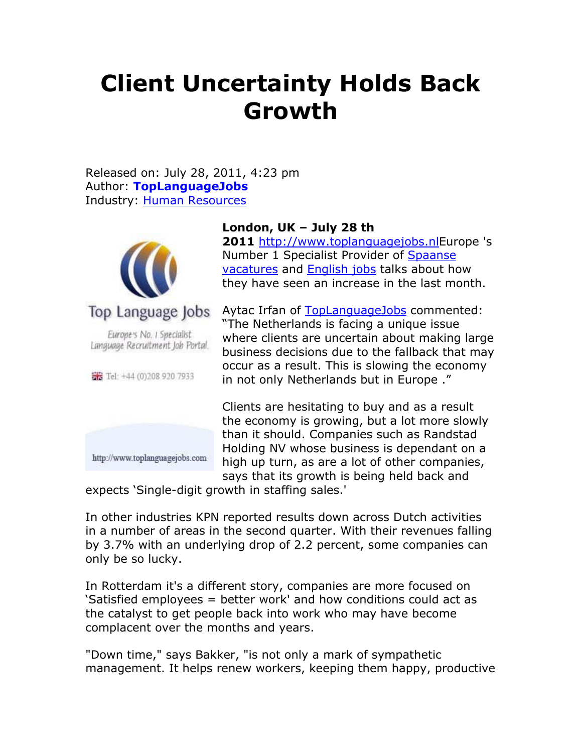## **Client Uncertainty Holds Back Growth**

Released on: July 28, 2011, 4:23 pm Author: **TopLanguageJobs** Industry: Human Resources



Europe's No. I Specialist Language Recruitment Job Portal.

FB Tel: +44 (0)208 920 7933



## **London, UK – July 28 th**

**2011** http://www.toplanguagejobs.nlEurope 's Number 1 Specialist Provider of Spaanse vacatures and **English jobs** talks about how they have seen an increase in the last month.

Aytac Irfan of TopLanguageJobs commented: "The Netherlands is facing a unique issue where clients are uncertain about making large business decisions due to the fallback that may occur as a result. This is slowing the economy in not only Netherlands but in Europe ."

Clients are hesitating to buy and as a result the economy is growing, but a lot more slowly than it should. Companies such as Randstad Holding NV whose business is dependant on a high up turn, as are a lot of other companies, says that its growth is being held back and

expects 'Single-digit growth in staffing sales.'

In other industries KPN reported results down across Dutch activities in a number of areas in the second quarter. With their revenues falling by 3.7% with an underlying drop of 2.2 percent, some companies can only be so lucky.

In Rotterdam it's a different story, companies are more focused on 'Satisfied employees = better work' and how conditions could act as the catalyst to get people back into work who may have become complacent over the months and years.

"Down time," says Bakker, "is not only a mark of sympathetic management. It helps renew workers, keeping them happy, productive